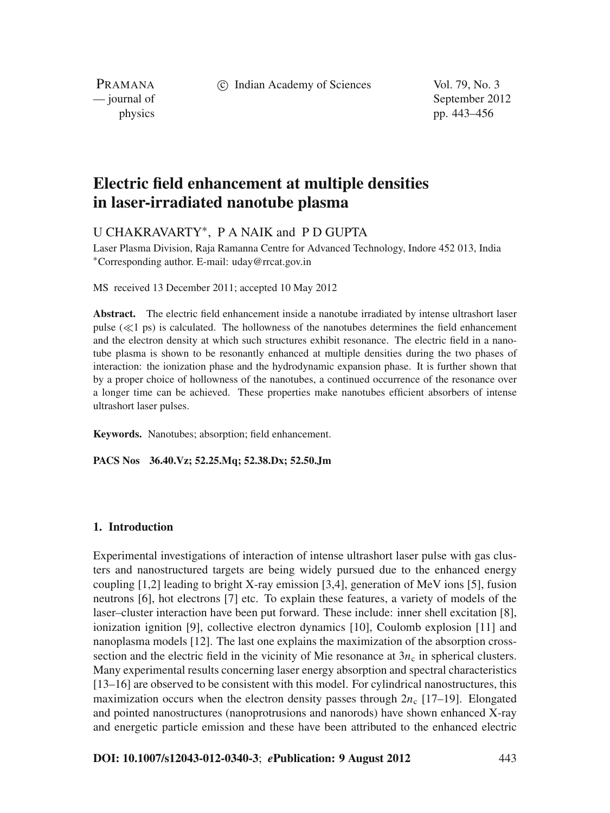c Indian Academy of Sciences Vol. 79, No. 3

PRAMANA

— journal of September 2012 physics pp. 443–456

# **Electric field enhancement at multiple densities in laser-irradiated nanotube plasma**

U CHAKRAVARTY∗, P A NAIK and P D GUPTA

Laser Plasma Division, Raja Ramanna Centre for Advanced Technology, Indore 452 013, India <sup>∗</sup>Corresponding author. E-mail: uday@rrcat.gov.in

MS received 13 December 2011; accepted 10 May 2012

**Abstract.** The electric field enhancement inside a nanotube irradiated by intense ultrashort laser pulse  $(\ll 1)$  ps) is calculated. The hollowness of the nanotubes determines the field enhancement and the electron density at which such structures exhibit resonance. The electric field in a nanotube plasma is shown to be resonantly enhanced at multiple densities during the two phases of interaction: the ionization phase and the hydrodynamic expansion phase. It is further shown that by a proper choice of hollowness of the nanotubes, a continued occurrence of the resonance over a longer time can be achieved. These properties make nanotubes efficient absorbers of intense ultrashort laser pulses.

**Keywords.** Nanotubes; absorption; field enhancement.

**PACS Nos 36.40.Vz; 52.25.Mq; 52.38.Dx; 52.50.Jm**

# **1. Introduction**

Experimental investigations of interaction of intense ultrashort laser pulse with gas clusters and nanostructured targets are being widely pursued due to the enhanced energy coupling [1,2] leading to bright X-ray emission [3,4], generation of MeV ions [5], fusion neutrons [6], hot electrons [7] etc. To explain these features, a variety of models of the laser–cluster interaction have been put forward. These include: inner shell excitation [8], ionization ignition [9], collective electron dynamics [10], Coulomb explosion [11] and nanoplasma models [12]. The last one explains the maximization of the absorption crosssection and the electric field in the vicinity of Mie resonance at  $3n_c$  in spherical clusters. Many experimental results concerning laser energy absorption and spectral characteristics [13–16] are observed to be consistent with this model. For cylindrical nanostructures, this maximization occurs when the electron density passes through  $2n_c$  [17–19]. Elongated and pointed nanostructures (nanoprotrusions and nanorods) have shown enhanced X-ray and energetic particle emission and these have been attributed to the enhanced electric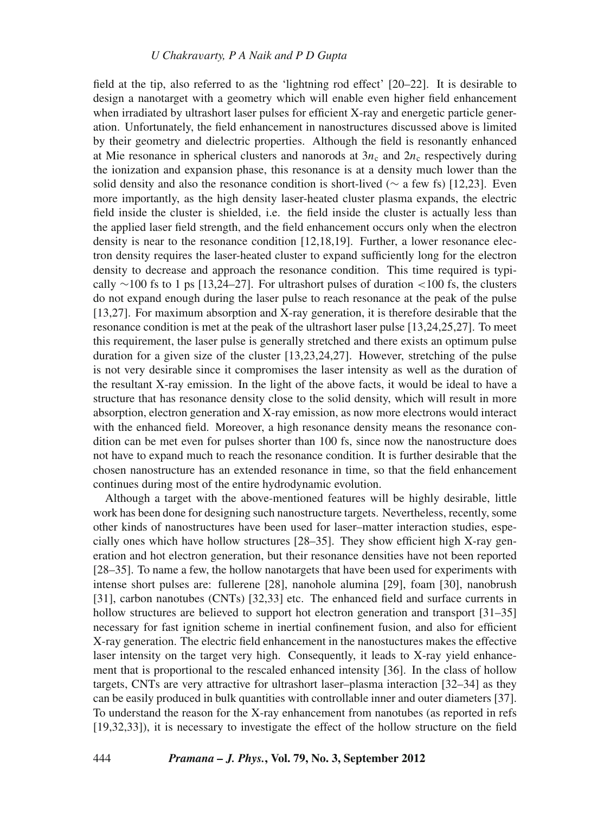field at the tip, also referred to as the 'lightning rod effect' [20–22]. It is desirable to design a nanotarget with a geometry which will enable even higher field enhancement when irradiated by ultrashort laser pulses for efficient X-ray and energetic particle generation. Unfortunately, the field enhancement in nanostructures discussed above is limited by their geometry and dielectric properties. Although the field is resonantly enhanced at Mie resonance in spherical clusters and nanorods at  $3n_c$  and  $2n_c$  respectively during the ionization and expansion phase, this resonance is at a density much lower than the solid density and also the resonance condition is short-lived (∼ a few fs) [12,23]. Even more importantly, as the high density laser-heated cluster plasma expands, the electric field inside the cluster is shielded, i.e. the field inside the cluster is actually less than the applied laser field strength, and the field enhancement occurs only when the electron density is near to the resonance condition [12,18,19]. Further, a lower resonance electron density requires the laser-heated cluster to expand sufficiently long for the electron density to decrease and approach the resonance condition. This time required is typically  $\sim$ 100 fs to 1 ps [13,24–27]. For ultrashort pulses of duration <100 fs, the clusters do not expand enough during the laser pulse to reach resonance at the peak of the pulse [13,27]. For maximum absorption and X-ray generation, it is therefore desirable that the resonance condition is met at the peak of the ultrashort laser pulse [13,24,25,27]. To meet this requirement, the laser pulse is generally stretched and there exists an optimum pulse duration for a given size of the cluster [13,23,24,27]. However, stretching of the pulse is not very desirable since it compromises the laser intensity as well as the duration of the resultant X-ray emission. In the light of the above facts, it would be ideal to have a structure that has resonance density close to the solid density, which will result in more absorption, electron generation and X-ray emission, as now more electrons would interact with the enhanced field. Moreover, a high resonance density means the resonance condition can be met even for pulses shorter than 100 fs, since now the nanostructure does not have to expand much to reach the resonance condition. It is further desirable that the chosen nanostructure has an extended resonance in time, so that the field enhancement continues during most of the entire hydrodynamic evolution.

Although a target with the above-mentioned features will be highly desirable, little work has been done for designing such nanostructure targets. Nevertheless, recently, some other kinds of nanostructures have been used for laser–matter interaction studies, especially ones which have hollow structures [28–35]. They show efficient high X-ray generation and hot electron generation, but their resonance densities have not been reported [28–35]. To name a few, the hollow nanotargets that have been used for experiments with intense short pulses are: fullerene [28], nanohole alumina [29], foam [30], nanobrush [31], carbon nanotubes (CNTs) [32,33] etc. The enhanced field and surface currents in hollow structures are believed to support hot electron generation and transport [31–35] necessary for fast ignition scheme in inertial confinement fusion, and also for efficient X-ray generation. The electric field enhancement in the nanostuctures makes the effective laser intensity on the target very high. Consequently, it leads to X-ray yield enhancement that is proportional to the rescaled enhanced intensity [36]. In the class of hollow targets, CNTs are very attractive for ultrashort laser–plasma interaction [32–34] as they can be easily produced in bulk quantities with controllable inner and outer diameters [37]. To understand the reason for the X-ray enhancement from nanotubes (as reported in refs [19,32,33]), it is necessary to investigate the effect of the hollow structure on the field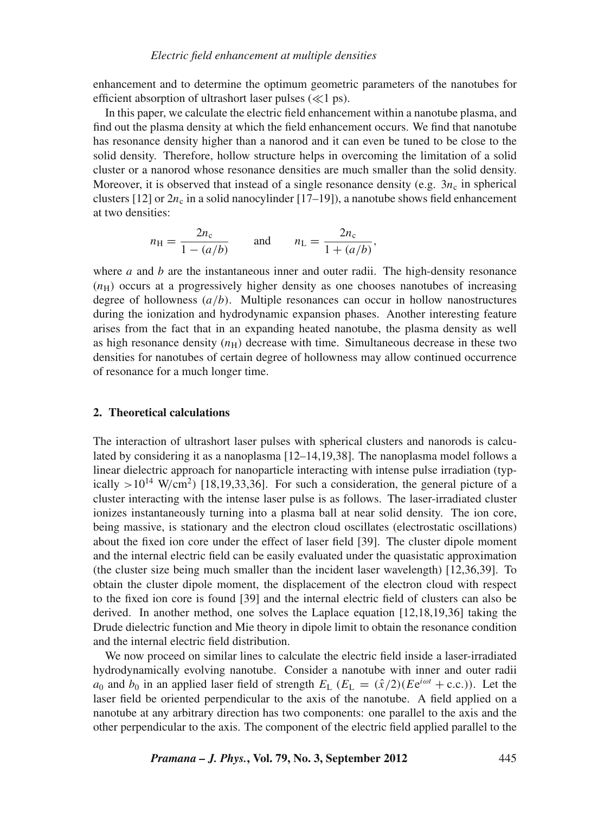enhancement and to determine the optimum geometric parameters of the nanotubes for efficient absorption of ultrashort laser pulses  $(\ll 1 \text{ ps})$ .

In this paper, we calculate the electric field enhancement within a nanotube plasma, and find out the plasma density at which the field enhancement occurs. We find that nanotube has resonance density higher than a nanorod and it can even be tuned to be close to the solid density. Therefore, hollow structure helps in overcoming the limitation of a solid cluster or a nanorod whose resonance densities are much smaller than the solid density. Moreover, it is observed that instead of a single resonance density (e.g.  $3n_c$  in spherical clusters [12] or  $2n_c$  in a solid nanocylinder [17–19]), a nanotube shows field enhancement at two densities:

$$
n_{\rm H} = \frac{2n_{\rm c}}{1 - (a/b)}
$$
 and  $n_{\rm L} = \frac{2n_{\rm c}}{1 + (a/b)}$ ,

where *a* and *b* are the instantaneous inner and outer radii. The high-density resonance  $(n<sub>H</sub>)$  occurs at a progressively higher density as one chooses nanotubes of increasing degree of hollowness (*a*/*b*). Multiple resonances can occur in hollow nanostructures during the ionization and hydrodynamic expansion phases. Another interesting feature arises from the fact that in an expanding heated nanotube, the plasma density as well as high resonance density  $(n_H)$  decrease with time. Simultaneous decrease in these two densities for nanotubes of certain degree of hollowness may allow continued occurrence of resonance for a much longer time.

## **2. Theoretical calculations**

The interaction of ultrashort laser pulses with spherical clusters and nanorods is calculated by considering it as a nanoplasma [12–14,19,38]. The nanoplasma model follows a linear dielectric approach for nanoparticle interacting with intense pulse irradiation (typically  $>10^{14}$  W/cm<sup>2</sup>) [18,19,33,36]. For such a consideration, the general picture of a cluster interacting with the intense laser pulse is as follows. The laser-irradiated cluster ionizes instantaneously turning into a plasma ball at near solid density. The ion core, being massive, is stationary and the electron cloud oscillates (electrostatic oscillations) about the fixed ion core under the effect of laser field [39]. The cluster dipole moment and the internal electric field can be easily evaluated under the quasistatic approximation (the cluster size being much smaller than the incident laser wavelength) [12,36,39]. To obtain the cluster dipole moment, the displacement of the electron cloud with respect to the fixed ion core is found [39] and the internal electric field of clusters can also be derived. In another method, one solves the Laplace equation [12,18,19,36] taking the Drude dielectric function and Mie theory in dipole limit to obtain the resonance condition and the internal electric field distribution.

We now proceed on similar lines to calculate the electric field inside a laser-irradiated hydrodynamically evolving nanotube. Consider a nanotube with inner and outer radii *a*<sub>0</sub> and *b*<sub>0</sub> in an applied laser field of strength  $E_L$  ( $E_L = (\hat{x}/2)(Ee^{i\omega t} + c.c.)$ ). Let the laser field be oriented perpendicular to the axis of the nanotube. A field applied on a nanotube at any arbitrary direction has two components: one parallel to the axis and the other perpendicular to the axis. The component of the electric field applied parallel to the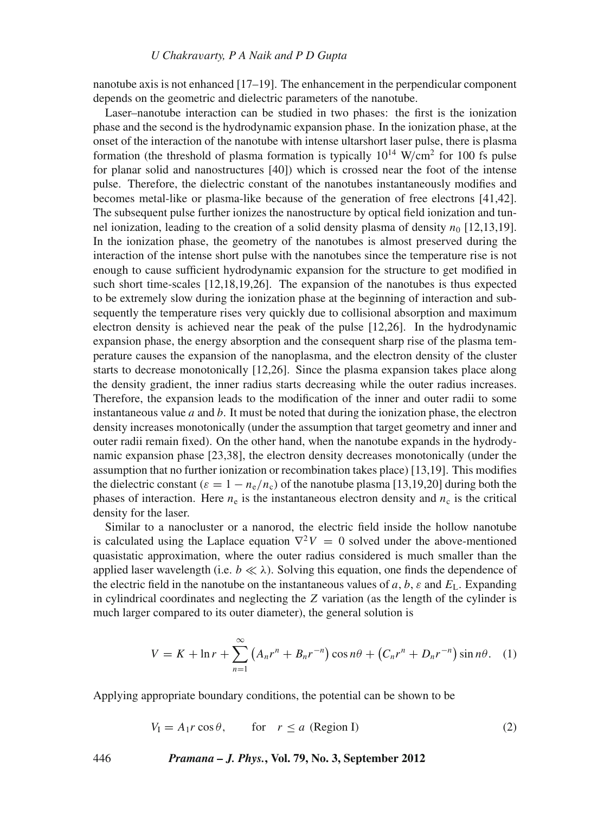nanotube axis is not enhanced [17–19]. The enhancement in the perpendicular component depends on the geometric and dielectric parameters of the nanotube.

Laser–nanotube interaction can be studied in two phases: the first is the ionization phase and the second is the hydrodynamic expansion phase. In the ionization phase, at the onset of the interaction of the nanotube with intense ultarshort laser pulse, there is plasma formation (the threshold of plasma formation is typically  $10^{14}$  W/cm<sup>2</sup> for 100 fs pulse for planar solid and nanostructures [40]) which is crossed near the foot of the intense pulse. Therefore, the dielectric constant of the nanotubes instantaneously modifies and becomes metal-like or plasma-like because of the generation of free electrons [41,42]. The subsequent pulse further ionizes the nanostructure by optical field ionization and tunnel ionization, leading to the creation of a solid density plasma of density  $n_0$  [12,13,19]. In the ionization phase, the geometry of the nanotubes is almost preserved during the interaction of the intense short pulse with the nanotubes since the temperature rise is not enough to cause sufficient hydrodynamic expansion for the structure to get modified in such short time-scales [12,18,19,26]. The expansion of the nanotubes is thus expected to be extremely slow during the ionization phase at the beginning of interaction and subsequently the temperature rises very quickly due to collisional absorption and maximum electron density is achieved near the peak of the pulse [12,26]. In the hydrodynamic expansion phase, the energy absorption and the consequent sharp rise of the plasma temperature causes the expansion of the nanoplasma, and the electron density of the cluster starts to decrease monotonically [12,26]. Since the plasma expansion takes place along the density gradient, the inner radius starts decreasing while the outer radius increases. Therefore, the expansion leads to the modification of the inner and outer radii to some instantaneous value *a* and *b*. It must be noted that during the ionization phase, the electron density increases monotonically (under the assumption that target geometry and inner and outer radii remain fixed). On the other hand, when the nanotube expands in the hydrodynamic expansion phase [23,38], the electron density decreases monotonically (under the assumption that no further ionization or recombination takes place) [13,19]. This modifies the dielectric constant ( $\varepsilon = 1 - n_e/n_c$ ) of the nanotube plasma [13,19,20] during both the phases of interaction. Here  $n_e$  is the instantaneous electron density and  $n_c$  is the critical density for the laser.

Similar to a nanocluster or a nanorod, the electric field inside the hollow nanotube is calculated using the Laplace equation  $\nabla^2 V = 0$  solved under the above-mentioned quasistatic approximation, where the outer radius considered is much smaller than the applied laser wavelength (i.e.  $b \ll \lambda$ ). Solving this equation, one finds the dependence of the electric field in the nanotube on the instantaneous values of  $a, b, \varepsilon$  and  $E_L$ . Expanding in cylindrical coordinates and neglecting the *Z* variation (as the length of the cylinder is much larger compared to its outer diameter), the general solution is

$$
V = K + \ln r + \sum_{n=1}^{\infty} \left( A_n r^n + B_n r^{-n} \right) \cos n\theta + \left( C_n r^n + D_n r^{-n} \right) \sin n\theta. \tag{1}
$$

Applying appropriate boundary conditions, the potential can be shown to be

$$
V_{I} = A_{1}r\cos\theta, \qquad \text{for} \quad r \le a \text{ (Region I)}
$$
 (2)

446 *Pramana – J. Phys.***, Vol. 79, No. 3, September 2012**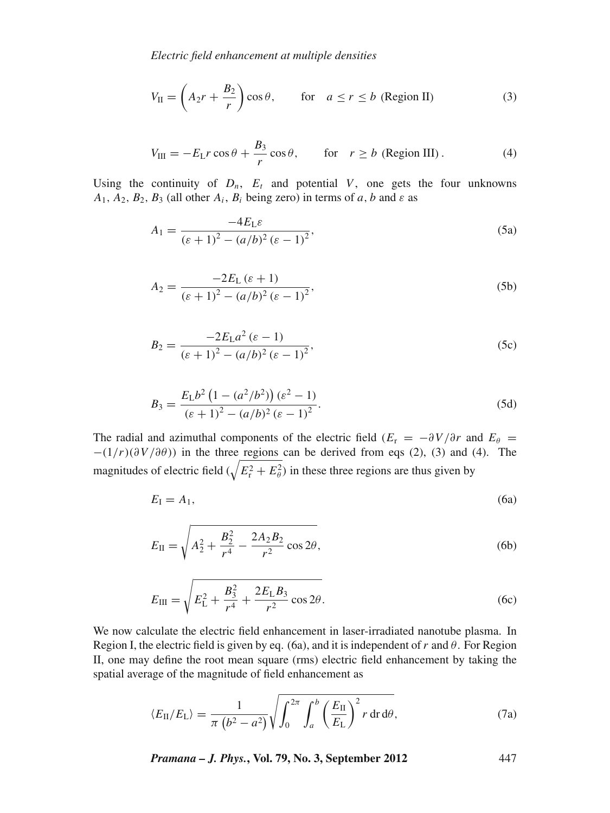*Electric field enhancement at multiple densities*

$$
V_{II} = \left(A_2r + \frac{B_2}{r}\right)\cos\theta, \qquad \text{for} \quad a \le r \le b \text{ (Region II)}
$$
 (3)

$$
V_{\text{III}} = -E_{\text{L}}r\cos\theta + \frac{B_3}{r}\cos\theta, \qquad \text{for} \quad r \ge b \text{ (Region III)}.
$$
 (4)

Using the continuity of  $D_n$ ,  $E_t$  and potential *V*, one gets the four unknowns  $A_1$ ,  $A_2$ ,  $B_2$ ,  $B_3$  (all other  $A_i$ ,  $B_i$  being zero) in terms of *a*, *b* and *ε* as

$$
A_1 = \frac{-4E_L\varepsilon}{(\varepsilon + 1)^2 - (a/b)^2 (\varepsilon - 1)^2},
$$
 (5a)

$$
A_2 = \frac{-2E_L(\varepsilon + 1)}{(\varepsilon + 1)^2 - (a/b)^2 (\varepsilon - 1)^2},
$$
\n(5b)

$$
B_2 = \frac{-2E_{\rm L}a^2(\varepsilon - 1)}{(\varepsilon + 1)^2 - (a/b)^2(\varepsilon - 1)^2},\tag{5c}
$$

$$
B_3 = \frac{E_L b^2 \left(1 - \left(a^2/b^2\right)\right) \left(\varepsilon^2 - 1\right)}{\left(\varepsilon + 1\right)^2 - \left(a/b\right)^2 \left(\varepsilon - 1\right)^2}.
$$
\n(5d)

The radial and azimuthal components of the electric field ( $E_r = -\partial V/\partial r$  and  $E_\theta =$  $-(1/r)(\partial V/\partial \theta)$ ) in the three regions can be derived from eqs (2), (3) and (4). The magnitudes of electric field  $(\sqrt{E_r^2 + E_\theta^2})$  in these three regions are thus given by

$$
E_{\rm I} = A_{\rm I},\tag{6a}
$$

$$
E_{\rm II} = \sqrt{A_2^2 + \frac{B_2^2}{r^4} - \frac{2A_2B_2}{r^2} \cos 2\theta},
$$
 (6b)

$$
E_{\rm III} = \sqrt{E_{\rm L}^2 + \frac{B_3^2}{r^4} + \frac{2E_{\rm L}B_3}{r^2}\cos 2\theta}.
$$
 (6c)

We now calculate the electric field enhancement in laser-irradiated nanotube plasma. In Region I, the electric field is given by eq. (6a), and it is independent of r and  $\theta$ . For Region II, one may define the root mean square (rms) electric field enhancement by taking the spatial average of the magnitude of field enhancement as

$$
\langle E_{\rm II}/E_{\rm L}\rangle = \frac{1}{\pi \left(b^2 - a^2\right)} \sqrt{\int_0^{2\pi} \int_a^b \left(\frac{E_{\rm II}}{E_{\rm L}}\right)^2 r \, dr \, d\theta},\tag{7a}
$$

*Pramana – J. Phys.***, Vol. 79, No. 3, September 2012** 447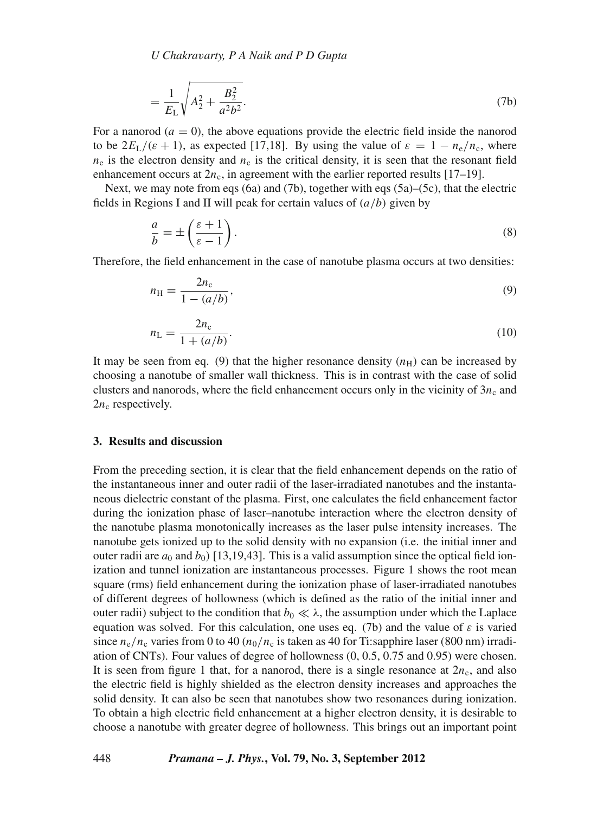*U Chakra*v*arty, P A Naik and P D Gupta*

$$
=\frac{1}{E_{\rm L}}\sqrt{A_2^2 + \frac{B_2^2}{a^2 b^2}}.\tag{7b}
$$

For a nanorod  $(a = 0)$ , the above equations provide the electric field inside the nanorod to be  $2E_L/(\varepsilon + 1)$ , as expected [17,18]. By using the value of  $\varepsilon = 1 - n_e/n_c$ , where  $n_e$  is the electron density and  $n_c$  is the critical density, it is seen that the resonant field enhancement occurs at  $2n_c$ , in agreement with the earlier reported results [17–19].

Next, we may note from eqs (6a) and (7b), together with eqs (5a)–(5c), that the electric fields in Regions I and II will peak for certain values of (*a*/*b*) given by

$$
\frac{a}{b} = \pm \left(\frac{\varepsilon + 1}{\varepsilon - 1}\right). \tag{8}
$$

Therefore, the field enhancement in the case of nanotube plasma occurs at two densities:

$$
n_{\rm H} = \frac{2n_{\rm c}}{1 - (a/b)},\tag{9}
$$

$$
n_{\rm L} = \frac{2n_{\rm c}}{1 + (a/b)}.\tag{10}
$$

It may be seen from eq. (9) that the higher resonance density  $(n<sub>H</sub>)$  can be increased by choosing a nanotube of smaller wall thickness. This is in contrast with the case of solid clusters and nanorods, where the field enhancement occurs only in the vicinity of  $3n_c$  and  $2n_c$  respectively.

#### **3. Results and discussion**

From the preceding section, it is clear that the field enhancement depends on the ratio of the instantaneous inner and outer radii of the laser-irradiated nanotubes and the instantaneous dielectric constant of the plasma. First, one calculates the field enhancement factor during the ionization phase of laser–nanotube interaction where the electron density of the nanotube plasma monotonically increases as the laser pulse intensity increases. The nanotube gets ionized up to the solid density with no expansion (i.e. the initial inner and outer radii are  $a_0$  and  $b_0$ ) [13,19,43]. This is a valid assumption since the optical field ionization and tunnel ionization are instantaneous processes. Figure 1 shows the root mean square (rms) field enhancement during the ionization phase of laser-irradiated nanotubes of different degrees of hollowness (which is defined as the ratio of the initial inner and outer radii) subject to the condition that  $b_0 \ll \lambda$ , the assumption under which the Laplace equation was solved. For this calculation, one uses eq. (7b) and the value of  $\varepsilon$  is varied since  $n_e/n_c$  varies from 0 to 40 ( $n_0/n_c$  is taken as 40 for Ti:sapphire laser (800 nm) irradiation of CNTs). Four values of degree of hollowness (0, 0.5, 0.75 and 0.95) were chosen. It is seen from figure 1 that, for a nanorod, there is a single resonance at  $2n_c$ , and also the electric field is highly shielded as the electron density increases and approaches the solid density. It can also be seen that nanotubes show two resonances during ionization. To obtain a high electric field enhancement at a higher electron density, it is desirable to choose a nanotube with greater degree of hollowness. This brings out an important point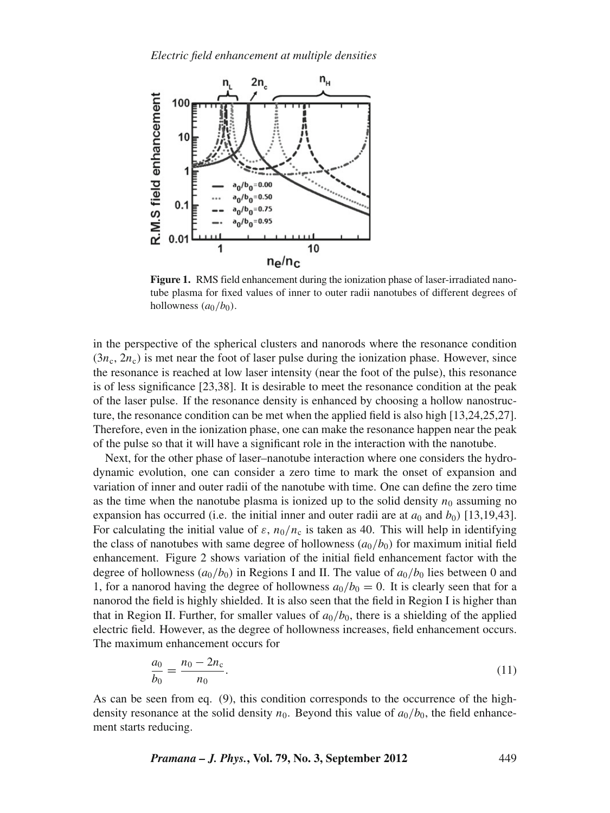

**Figure 1.** RMS field enhancement during the ionization phase of laser-irradiated nanotube plasma for fixed values of inner to outer radii nanotubes of different degrees of hollowness  $(a_0/b_0)$ .

in the perspective of the spherical clusters and nanorods where the resonance condition  $(3n_c, 2n_c)$  is met near the foot of laser pulse during the ionization phase. However, since the resonance is reached at low laser intensity (near the foot of the pulse), this resonance is of less significance [23,38]. It is desirable to meet the resonance condition at the peak of the laser pulse. If the resonance density is enhanced by choosing a hollow nanostructure, the resonance condition can be met when the applied field is also high [13,24,25,27]. Therefore, even in the ionization phase, one can make the resonance happen near the peak of the pulse so that it will have a significant role in the interaction with the nanotube.

Next, for the other phase of laser–nanotube interaction where one considers the hydrodynamic evolution, one can consider a zero time to mark the onset of expansion and variation of inner and outer radii of the nanotube with time. One can define the zero time as the time when the nanotube plasma is ionized up to the solid density  $n_0$  assuming no expansion has occurred (i.e. the initial inner and outer radii are at  $a_0$  and  $b_0$ ) [13,19,43]. For calculating the initial value of  $\varepsilon$ ,  $n_0/n_c$  is taken as 40. This will help in identifying the class of nanotubes with same degree of hollowness  $(a_0/b_0)$  for maximum initial field enhancement. Figure 2 shows variation of the initial field enhancement factor with the degree of hollowness  $(a_0/b_0)$  in Regions I and II. The value of  $a_0/b_0$  lies between 0 and 1, for a nanorod having the degree of hollowness  $a_0/b_0 = 0$ . It is clearly seen that for a nanorod the field is highly shielded. It is also seen that the field in Region I is higher than that in Region II. Further, for smaller values of  $a_0/b_0$ , there is a shielding of the applied electric field. However, as the degree of hollowness increases, field enhancement occurs. The maximum enhancement occurs for

$$
\frac{a_0}{b_0} = \frac{n_0 - 2n_c}{n_0}.\tag{11}
$$

As can be seen from eq. (9), this condition corresponds to the occurrence of the highdensity resonance at the solid density  $n_0$ . Beyond this value of  $a_0/b_0$ , the field enhancement starts reducing.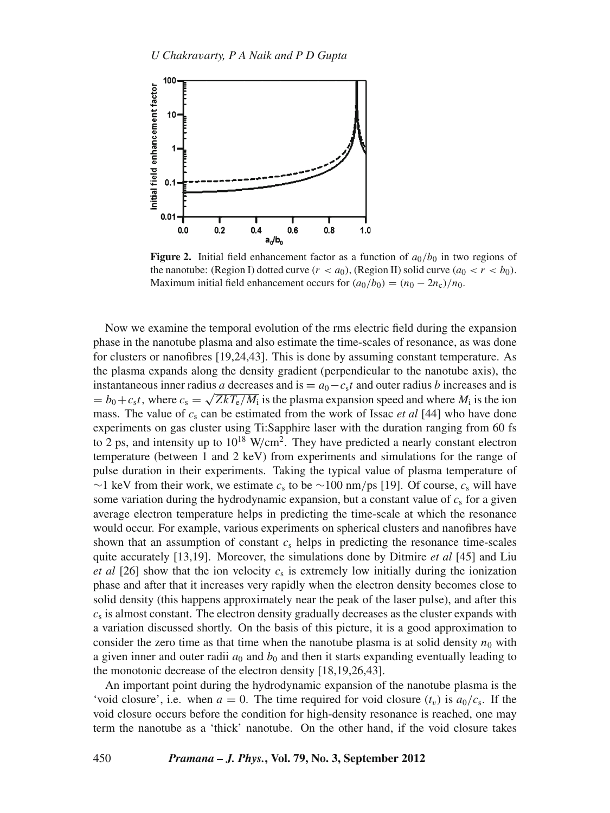

**Figure 2.** Initial field enhancement factor as a function of  $a_0/b_0$  in two regions of the nanotube: (Region I) dotted curve  $(r < a_0)$ , (Region II) solid curve  $(a_0 < r < b_0)$ . Maximum initial field enhancement occurs for  $(a_0/b_0) = (n_0 - 2n_c)/n_0$ .

Now we examine the temporal evolution of the rms electric field during the expansion phase in the nanotube plasma and also estimate the time-scales of resonance, as was done for clusters or nanofibres [19,24,43]. This is done by assuming constant temperature. As the plasma expands along the density gradient (perpendicular to the nanotube axis), the instantaneous inner radius *a* decreases and is  $= a_0 - c_s t$  and outer radius *b* increases and is  $= b_0+c_s$ *t*, where  $c_s = \sqrt{ZkT_e/M_i}$  is the plasma expansion speed and where  $M_i$  is the ion mass. The value of *c*<sup>s</sup> can be estimated from the work of Issac *et al* [44] who have done experiments on gas cluster using Ti:Sapphire laser with the duration ranging from 60 fs to 2 ps, and intensity up to  $10^{18}$  W/cm<sup>2</sup>. They have predicted a nearly constant electron temperature (between 1 and 2 keV) from experiments and simulations for the range of pulse duration in their experiments. Taking the typical value of plasma temperature of ∼1 keV from their work, we estimate *c*<sup>s</sup> to be ∼100 nm/ps [19]. Of course, *c*<sup>s</sup> will have some variation during the hydrodynamic expansion, but a constant value of  $c<sub>s</sub>$  for a given average electron temperature helps in predicting the time-scale at which the resonance would occur. For example, various experiments on spherical clusters and nanofibres have shown that an assumption of constant  $c<sub>s</sub>$  helps in predicting the resonance time-scales quite accurately [13,19]. Moreover, the simulations done by Ditmire *et al* [45] and Liu *et al* [26] show that the ion velocity  $c_s$  is extremely low initially during the ionization phase and after that it increases very rapidly when the electron density becomes close to solid density (this happens approximately near the peak of the laser pulse), and after this  $c<sub>s</sub>$  is almost constant. The electron density gradually decreases as the cluster expands with a variation discussed shortly. On the basis of this picture, it is a good approximation to consider the zero time as that time when the nanotube plasma is at solid density  $n_0$  with a given inner and outer radii  $a_0$  and  $b_0$  and then it starts expanding eventually leading to the monotonic decrease of the electron density [18,19,26,43].

An important point during the hydrodynamic expansion of the nanotube plasma is the 'void closure', i.e. when  $a = 0$ . The time required for void closure  $(t_v)$  is  $a_0/c_s$ . If the void closure occurs before the condition for high-density resonance is reached, one may term the nanotube as a 'thick' nanotube. On the other hand, if the void closure takes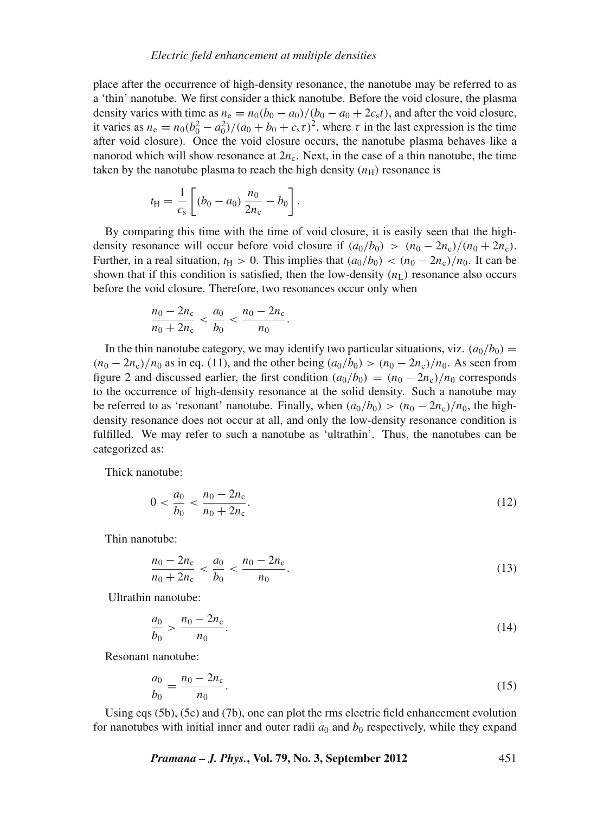place after the occurrence of high-density resonance, the nanotube may be referred to as a 'thin' nanotube. We first consider a thick nanotube. Before the void closure, the plasma density varies with time as  $n_e = n_0(b_0 - a_0)/(b_0 - a_0 + 2c_s t)$ , and after the void closure, it varies as  $n_e = n_0(b_0^2 - a_0^2)/(a_0 + b_0 + c_s \tau)^2$ , where  $\tau$  in the last expression is the time after void closure). Once the void closure occurs, the nanotube plasma behaves like a nanorod which will show resonance at  $2n_c$ . Next, in the case of a thin nanotube, the time taken by the nanotube plasma to reach the high density  $(n_H)$  resonance is

$$
t_{\rm H} = \frac{1}{c_{\rm s}} \left[ (b_0 - a_0) \frac{n_0}{2n_{\rm c}} - b_0 \right].
$$

By comparing this time with the time of void closure, it is easily seen that the highdensity resonance will occur before void closure if  $(a_0/b_0) > (n_0 - 2n_c)/(n_0 + 2n_c)$ . Further, in a real situation,  $t_H > 0$ . This implies that  $(a_0/b_0) < (n_0 - 2n_c)/n_0$ . It can be shown that if this condition is satisfied, then the low-density  $(n<sub>L</sub>)$  resonance also occurs before the void closure. Therefore, two resonances occur only when

$$
\frac{n_0 - 2n_c}{n_0 + 2n_c} < \frac{a_0}{b_0} < \frac{n_0 - 2n_c}{n_0}.
$$

In the thin nanotube category, we may identify two particular situations, viz.  $(a_0/b_0)$  =  $(n_0 - 2n_c)/n_0$  as in eq. (11), and the other being  $(a_0/b_0) > (n_0 - 2n_c)/n_0$ . As seen from figure 2 and discussed earlier, the first condition  $(a_0/b_0) = (n_0 - 2n_c)/n_0$  corresponds to the occurrence of high-density resonance at the solid density. Such a nanotube may be referred to as 'resonant' nanotube. Finally, when  $(a_0/b_0) > (n_0 - 2n_c)/n_0$ , the highdensity resonance does not occur at all, and only the low-density resonance condition is fulfilled. We may refer to such a nanotube as 'ultrathin'. Thus, the nanotubes can be categorized as:

Thick nanotube:

$$
0 < \frac{a_0}{b_0} < \frac{n_0 - 2n_c}{n_0 + 2n_c}.\tag{12}
$$

Thin nanotube:

$$
\frac{n_0 - 2n_c}{n_0 + 2n_c} < \frac{a_0}{b_0} < \frac{n_0 - 2n_c}{n_0}.\tag{13}
$$

Ultrathin nanotube:

$$
\frac{a_0}{b_0} > \frac{n_0 - 2n_c}{n_0}.\tag{14}
$$

Resonant nanotube:

$$
\frac{a_0}{b_0} = \frac{n_0 - 2n_c}{n_0}.\tag{15}
$$

Using eqs (5b), (5c) and (7b), one can plot the rms electric field enhancement evolution for nanotubes with initial inner and outer radii  $a_0$  and  $b_0$  respectively, while they expand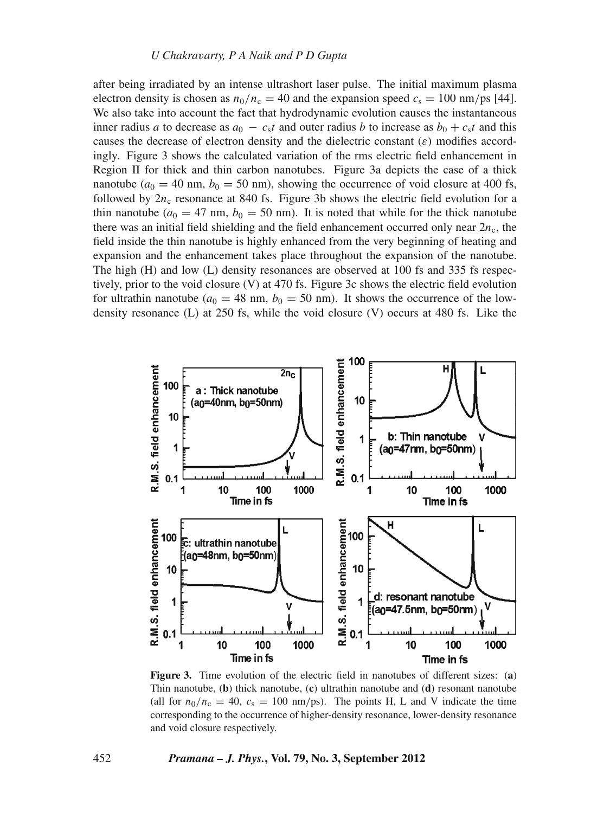after being irradiated by an intense ultrashort laser pulse. The initial maximum plasma electron density is chosen as  $n_0/n_c = 40$  and the expansion speed  $c_s = 100$  nm/ps [44]. We also take into account the fact that hydrodynamic evolution causes the instantaneous inner radius *a* to decrease as  $a_0 - c_s t$  and outer radius *b* to increase as  $b_0 + c_s t$  and this causes the decrease of electron density and the dielectric constant  $(\varepsilon)$  modifies accordingly. Figure 3 shows the calculated variation of the rms electric field enhancement in Region II for thick and thin carbon nanotubes. Figure 3a depicts the case of a thick nanotube  $(a_0 = 40 \text{ nm}, b_0 = 50 \text{ nm})$ , showing the occurrence of void closure at 400 fs, followed by  $2n_c$  resonance at 840 fs. Figure 3b shows the electric field evolution for a thin nanotube ( $a_0 = 47$  nm,  $b_0 = 50$  nm). It is noted that while for the thick nanotube there was an initial field shielding and the field enhancement occurred only near  $2n_c$ , the field inside the thin nanotube is highly enhanced from the very beginning of heating and expansion and the enhancement takes place throughout the expansion of the nanotube. The high (H) and low (L) density resonances are observed at 100 fs and 335 fs respectively, prior to the void closure (V) at 470 fs. Figure 3c shows the electric field evolution for ultrathin nanotube ( $a_0 = 48$  nm,  $b_0 = 50$  nm). It shows the occurrence of the lowdensity resonance (L) at 250 fs, while the void closure (V) occurs at 480 fs. Like the



**Figure 3.** Time evolution of the electric field in nanotubes of different sizes: (**a**) Thin nanotube, (**b**) thick nanotube, (**c**) ultrathin nanotube and (**d**) resonant nanotube (all for  $n_0/n_c = 40$ ,  $c_s = 100$  nm/ps). The points H, L and V indicate the time corresponding to the occurrence of higher-density resonance, lower-density resonance and void closure respectively.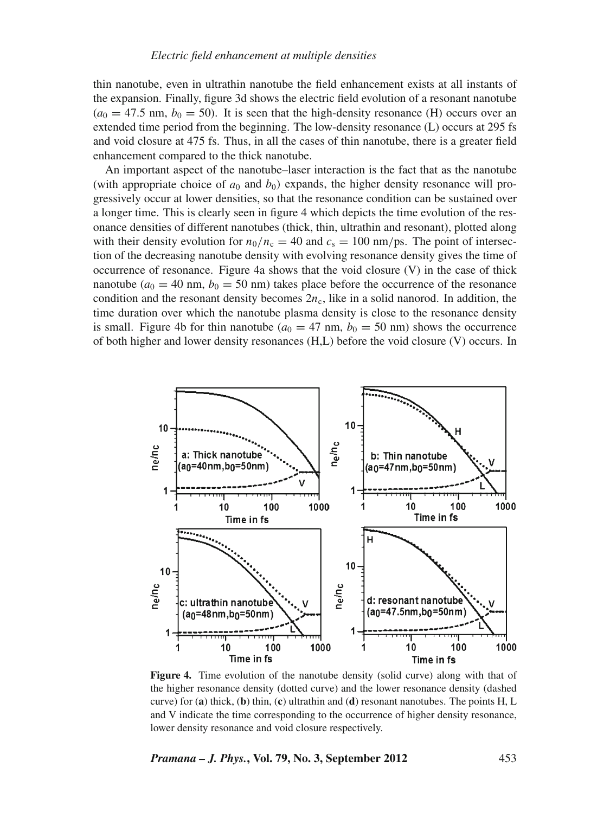thin nanotube, even in ultrathin nanotube the field enhancement exists at all instants of the expansion. Finally, figure 3d shows the electric field evolution of a resonant nanotube  $(a_0 = 47.5 \text{ nm}, b_0 = 50)$ . It is seen that the high-density resonance (H) occurs over an extended time period from the beginning. The low-density resonance (L) occurs at 295 fs and void closure at 475 fs. Thus, in all the cases of thin nanotube, there is a greater field enhancement compared to the thick nanotube.

An important aspect of the nanotube–laser interaction is the fact that as the nanotube (with appropriate choice of  $a_0$  and  $b_0$ ) expands, the higher density resonance will progressively occur at lower densities, so that the resonance condition can be sustained over a longer time. This is clearly seen in figure 4 which depicts the time evolution of the resonance densities of different nanotubes (thick, thin, ultrathin and resonant), plotted along with their density evolution for  $n_0/n_c = 40$  and  $c_s = 100$  nm/ps. The point of intersection of the decreasing nanotube density with evolving resonance density gives the time of occurrence of resonance. Figure 4a shows that the void closure (V) in the case of thick nanotube  $(a_0 = 40 \text{ nm}, b_0 = 50 \text{ nm})$  takes place before the occurrence of the resonance condition and the resonant density becomes  $2n<sub>c</sub>$ , like in a solid nanorod. In addition, the time duration over which the nanotube plasma density is close to the resonance density is small. Figure 4b for thin nanotube ( $a_0 = 47$  nm,  $b_0 = 50$  nm) shows the occurrence of both higher and lower density resonances (H,L) before the void closure (V) occurs. In



**Figure 4.** Time evolution of the nanotube density (solid curve) along with that of the higher resonance density (dotted curve) and the lower resonance density (dashed curve) for (**a**) thick, (**b**) thin, (**c**) ultrathin and (**d**) resonant nanotubes. The points H, L and V indicate the time corresponding to the occurrence of higher density resonance, lower density resonance and void closure respectively.

*Pramana – J. Phys.***, Vol. 79, No. 3, September 2012** 453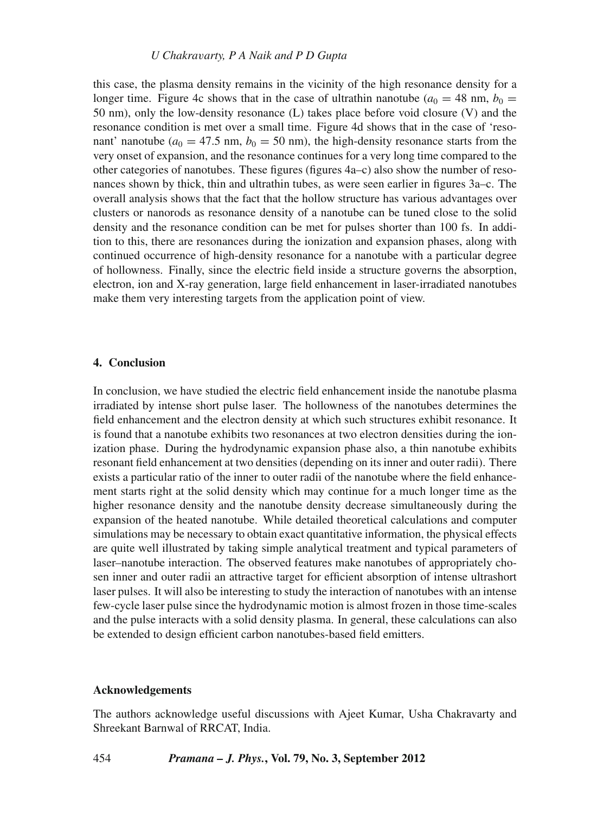this case, the plasma density remains in the vicinity of the high resonance density for a longer time. Figure 4c shows that in the case of ultrathin nanotube  $(a_0 = 48 \text{ nm}, b_0 = 100 \text{ nm})$ 50 nm), only the low-density resonance (L) takes place before void closure (V) and the resonance condition is met over a small time. Figure 4d shows that in the case of 'resonant' nanotube ( $a_0 = 47.5$  nm,  $b_0 = 50$  nm), the high-density resonance starts from the very onset of expansion, and the resonance continues for a very long time compared to the other categories of nanotubes. These figures (figures 4a–c) also show the number of resonances shown by thick, thin and ultrathin tubes, as were seen earlier in figures 3a–c. The overall analysis shows that the fact that the hollow structure has various advantages over clusters or nanorods as resonance density of a nanotube can be tuned close to the solid density and the resonance condition can be met for pulses shorter than 100 fs. In addition to this, there are resonances during the ionization and expansion phases, along with continued occurrence of high-density resonance for a nanotube with a particular degree of hollowness. Finally, since the electric field inside a structure governs the absorption, electron, ion and X-ray generation, large field enhancement in laser-irradiated nanotubes make them very interesting targets from the application point of view.

## **4. Conclusion**

In conclusion, we have studied the electric field enhancement inside the nanotube plasma irradiated by intense short pulse laser. The hollowness of the nanotubes determines the field enhancement and the electron density at which such structures exhibit resonance. It is found that a nanotube exhibits two resonances at two electron densities during the ionization phase. During the hydrodynamic expansion phase also, a thin nanotube exhibits resonant field enhancement at two densities (depending on its inner and outer radii). There exists a particular ratio of the inner to outer radii of the nanotube where the field enhancement starts right at the solid density which may continue for a much longer time as the higher resonance density and the nanotube density decrease simultaneously during the expansion of the heated nanotube. While detailed theoretical calculations and computer simulations may be necessary to obtain exact quantitative information, the physical effects are quite well illustrated by taking simple analytical treatment and typical parameters of laser–nanotube interaction. The observed features make nanotubes of appropriately chosen inner and outer radii an attractive target for efficient absorption of intense ultrashort laser pulses. It will also be interesting to study the interaction of nanotubes with an intense few-cycle laser pulse since the hydrodynamic motion is almost frozen in those time-scales and the pulse interacts with a solid density plasma. In general, these calculations can also be extended to design efficient carbon nanotubes-based field emitters.

## **Acknowledgements**

The authors acknowledge useful discussions with Ajeet Kumar, Usha Chakravarty and Shreekant Barnwal of RRCAT, India.

454 *Pramana – J. Phys.***, Vol. 79, No. 3, September 2012**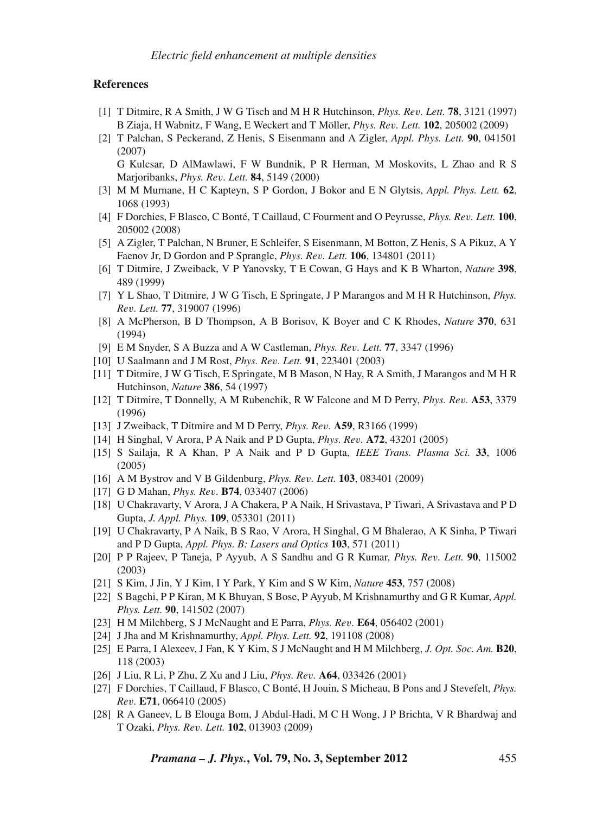### **References**

- [1] T Ditmire, R A Smith, J W G Tisch and M H R Hutchinson, *Phys. Re*v*. Lett.* **78**, 3121 (1997) B Ziaja, H Wabnitz, F Wang, E Weckert and T Möller, *Phys. Re*v*. Lett.* **102**, 205002 (2009)
- [2] T Palchan, S Peckerand, Z Henis, S Eisenmann and A Zigler, *Appl. Phys. Lett.* **90**, 041501 (2007)

G Kulcsar, D AlMawlawi, F W Bundnik, P R Herman, M Moskovits, L Zhao and R S Marjoribanks, *Phys. Re*v*. Lett.* **84**, 5149 (2000)

- [3] M M Murnane, H C Kapteyn, S P Gordon, J Bokor and E N Glytsis, *Appl. Phys. Lett.* **62**, 1068 (1993)
- [4] F Dorchies, F Blasco, C Bonté, T Caillaud, C Fourment and O Peyrusse, *Phys. Re*v*. Lett.* **100**, 205002 (2008)
- [5] A Zigler, T Palchan, N Bruner, E Schleifer, S Eisenmann, M Botton, Z Henis, S A Pikuz, A Y Faenov Jr, D Gordon and P Sprangle, *Phys. Re*v*. Lett.* **106**, 134801 (2011)
- [6] T Ditmire, J Zweiback, V P Yanovsky, T E Cowan, G Hays and K B Wharton, *Nature* **398**, 489 (1999)
- [7] Y L Shao, T Ditmire, J W G Tisch, E Springate, J P Marangos and M H R Hutchinson, *Phys. Re*v*. Lett.* **77**, 319007 (1996)
- [8] A McPherson, B D Thompson, A B Borisov, K Boyer and C K Rhodes, *Nature* **370**, 631 (1994)
- [9] E M Snyder, S A Buzza and A W Castleman, *Phys. Re*v*. Lett.* **77**, 3347 (1996)
- [10] U Saalmann and J M Rost, *Phys. Re*v*. Lett.* **91**, 223401 (2003)
- [11] T Ditmire, J W G Tisch, E Springate, M B Mason, N Hay, R A Smith, J Marangos and M H R Hutchinson, *Nature* **386**, 54 (1997)
- [12] T Ditmire, T Donnelly, A M Rubenchik, R W Falcone and M D Perry, *Phys. Re*v*.* **A53**, 3379 (1996)
- [13] J Zweiback, T Ditmire and M D Perry, *Phys. Re*v*.* **A59**, R3166 (1999)
- [14] H Singhal, V Arora, P A Naik and P D Gupta, *Phys. Re*v*.* **A72**, 43201 (2005)
- [15] S Sailaja, R A Khan, P A Naik and P D Gupta, *IEEE Trans. Plasma Sci.* **33**, 1006 (2005)
- [16] A M Bystrov and V B Gildenburg, *Phys. Re*v*. Lett.* **103**, 083401 (2009)
- [17] G D Mahan, *Phys. Re*v*.* **B74**, 033407 (2006)
- [18] U Chakravarty, V Arora, J A Chakera, P A Naik, H Srivastava, P Tiwari, A Srivastava and P D Gupta, *J. Appl. Phys.* **109**, 053301 (2011)
- [19] U Chakravarty, P A Naik, B S Rao, V Arora, H Singhal, G M Bhalerao, A K Sinha, P Tiwari and P D Gupta, *Appl. Phys. B: Lasers and Optics* **103**, 571 (2011)
- [20] P P Rajeev, P Taneja, P Ayyub, A S Sandhu and G R Kumar, *Phys. Re*v*. Lett.* **90**, 115002 (2003)
- [21] S Kim, J Jin, Y J Kim, I Y Park, Y Kim and S W Kim, *Nature* **453**, 757 (2008)
- [22] S Bagchi, P P Kiran, M K Bhuyan, S Bose, P Ayyub, M Krishnamurthy and G R Kumar, *Appl. Phys. Lett.* **90**, 141502 (2007)
- [23] H M Milchberg, S J McNaught and E Parra, *Phys. Re*v*.* **E64**, 056402 (2001)
- [24] J Jha and M Krishnamurthy, *Appl. Phys. Lett.* **92**, 191108 (2008)
- [25] E Parra, I Alexeev, J Fan, K Y Kim, S J McNaught and H M Milchberg, *J. Opt. Soc. Am.* **B20**, 118 (2003)
- [26] J Liu, R Li, P Zhu, Z Xu and J Liu, *Phys. Re*v*.* **A64**, 033426 (2001)
- [27] F Dorchies, T Caillaud, F Blasco, C Bonté, H Jouin, S Micheau, B Pons and J Stevefelt, *Phys. Re*v*.* **E71**, 066410 (2005)
- [28] R A Ganeev, L B Elouga Bom, J Abdul-Hadi, M C H Wong, J P Brichta, V R Bhardwaj and T Ozaki, *Phys. Re*v*. Lett.* **102**, 013903 (2009)

*Pramana – J. Phys.***, Vol. 79, No. 3, September 2012** 455